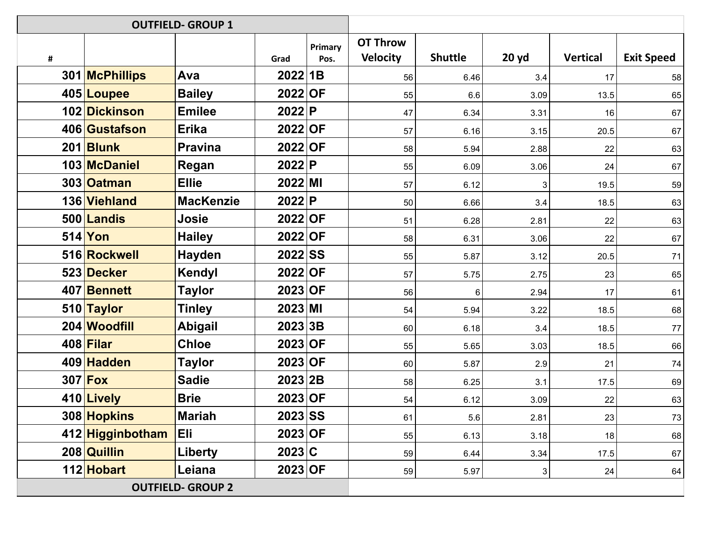| <b>OUTFIELD- GROUP 1</b> |                  |                  |                    |                 |                                    |                |       |                 |                   |
|--------------------------|------------------|------------------|--------------------|-----------------|------------------------------------|----------------|-------|-----------------|-------------------|
| #                        |                  |                  | Grad               | Primary<br>Pos. | <b>OT Throw</b><br><b>Velocity</b> | <b>Shuttle</b> | 20 yd | <b>Vertical</b> | <b>Exit Speed</b> |
|                          | 301 McPhillips   | Ava              | 2022 1B            |                 | 56                                 | 6.46           | 3.4   | 17              | 58                |
|                          | 405 Loupee       | <b>Bailey</b>    | 2022 OF            |                 | 55                                 | 6.6            | 3.09  | 13.5            | 65                |
|                          | 102 Dickinson    | <b>Emilee</b>    | 2022 P             |                 | 47                                 | 6.34           | 3.31  | 16              | 67                |
|                          | 406 Gustafson    | <b>Erika</b>     | $2022$ OF          |                 | 57                                 | 6.16           | 3.15  | 20.5            | 67                |
|                          | 201 Blunk        | <b>Pravina</b>   | 2022 OF            |                 | 58                                 | 5.94           | 2.88  | 22              | 63                |
|                          | 103 McDaniel     | Regan            | 2022 P             |                 | 55                                 | 6.09           | 3.06  | 24              | 67                |
|                          | 303 Oatman       | <b>Ellie</b>     | $2022$ MI          |                 | 57                                 | 6.12           | 3     | 19.5            | 59                |
|                          | 136 Viehland     | <b>MacKenzie</b> | 2022 P             |                 | 50                                 | 6.66           | 3.4   | 18.5            | 63                |
|                          | 500 Landis       | Josie            | 2022 OF            |                 | 51                                 | 6.28           | 2.81  | 22              | 63                |
|                          | 514 Yon          | <b>Hailey</b>    | 2022 OF            |                 | 58                                 | 6.31           | 3.06  | 22              | 67                |
|                          | 516 Rockwell     | Hayden           | <b>2022 SS</b>     |                 | 55                                 | 5.87           | 3.12  | 20.5            | 71                |
|                          | 523 Decker       | Kendyl           | 2022 OF            |                 | 57                                 | 5.75           | 2.75  | 23              | 65                |
|                          | 407 Bennett      | <b>Taylor</b>    | $2023$ OF          |                 | 56                                 | 6              | 2.94  | 17              | 61                |
|                          | 510 Taylor       | <b>Tinley</b>    | $2023$ MI          |                 | 54                                 | 5.94           | 3.22  | 18.5            | 68                |
|                          | 204 Woodfill     | <b>Abigail</b>   | 2023 3B            |                 | 60                                 | 6.18           | 3.4   | 18.5            | 77                |
|                          | $408$ Filar      | <b>Chloe</b>     | 2023 OF            |                 | 55                                 | 5.65           | 3.03  | 18.5            | 66                |
|                          | 409 Hadden       | <b>Taylor</b>    | $2023$ OF          |                 | 60                                 | 5.87           | 2.9   | 21              | 74                |
|                          | $307$ Fox        | <b>Sadie</b>     | 2023 <sub>2B</sub> |                 | 58                                 | 6.25           | 3.1   | 17.5            | 69                |
|                          | 410 Lively       | <b>Brie</b>      | 2023 OF            |                 | 54                                 | 6.12           | 3.09  | 22              | 63                |
|                          | 308 Hopkins      | <b>Mariah</b>    | <b>2023 SS</b>     |                 | 61                                 | 5.6            | 2.81  | 23              | 73                |
|                          | 412 Higginbotham | Eli              | $2023$ OF          |                 | 55                                 | 6.13           | 3.18  | 18              | 68                |
|                          | 208 Quillin      | Liberty          | $2023$ C           |                 | 59                                 | 6.44           | 3.34  | 17.5            | 67                |
|                          | 112 Hobart       | Leiana           | $2023$ OF          |                 | 59                                 | 5.97           | 3     | 24              | 64                |
| <b>OUTFIELD- GROUP 2</b> |                  |                  |                    |                 |                                    |                |       |                 |                   |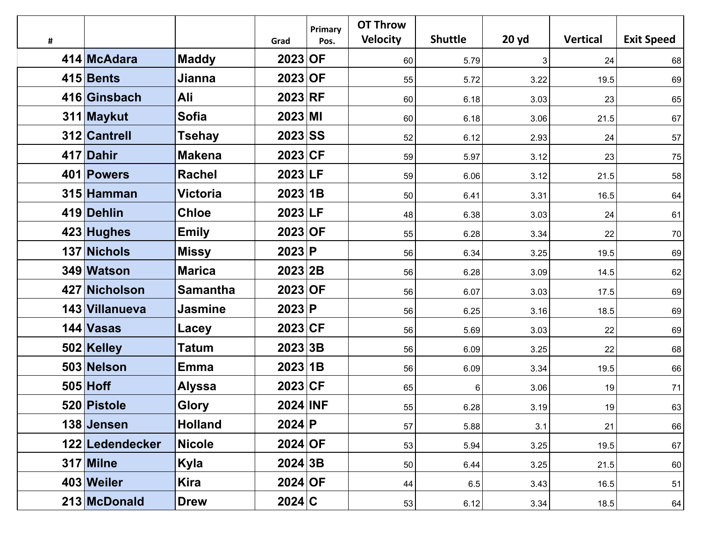|   |                 |                 |           | Primary | <b>OT Throw</b> |                |       |                 |                   |
|---|-----------------|-----------------|-----------|---------|-----------------|----------------|-------|-----------------|-------------------|
| # |                 |                 | Grad      | Pos.    | <b>Velocity</b> | <b>Shuttle</b> | 20 yd | <b>Vertical</b> | <b>Exit Speed</b> |
|   | 414 McAdara     | <b>Maddy</b>    | 2023 OF   |         | 60              | 5.79           | 3     | 24              | 68                |
|   | 415 Bents       | <b>Jianna</b>   | 2023 OF   |         | 55              | 5.72           | 3.22  | 19.5            | 69                |
|   | 416 Ginsbach    | Ali             | 2023 RF   |         | 60              | 6.18           | 3.03  | 23              | 65                |
|   | 311 Maykut      | <b>Sofia</b>    | $2023$ MI |         | 60              | 6.18           | 3.06  | 21.5            | 67                |
|   | 312 Cantrell    | <b>Tsehay</b>   | 2023 SS   |         | 52              | 6.12           | 2.93  | 24              | 57                |
|   | 417 Dahir       | <b>Makena</b>   | 2023 CF   |         | 59              | 5.97           | 3.12  | 23              | 75                |
|   | 401 Powers      | <b>Rachel</b>   | 2023 LF   |         | 59              | 6.06           | 3.12  | 21.5            | 58                |
|   | 315 Hamman      | <b>Victoria</b> | 2023 1B   |         | 50              | 6.41           | 3.31  | 16.5            | 64                |
|   | 419 Dehlin      | <b>Chloe</b>    | 2023 LF   |         | 48              | 6.38           | 3.03  | 24              | 61                |
|   | 423 Hughes      | <b>Emily</b>    | 2023 OF   |         | 55              | 6.28           | 3.34  | 22              | 70                |
|   | 137 Nichols     | <b>Missy</b>    | 2023 P    |         | 56              | 6.34           | 3.25  | 19.5            | 69                |
|   | 349 Watson      | <b>Marica</b>   | $2023$ 2B |         | 56              | 6.28           | 3.09  | 14.5            | 62                |
|   | 427 Nicholson   | <b>Samantha</b> | $2023$ OF |         | 56              | 6.07           | 3.03  | 17.5            | 69                |
|   | 143 Villanueva  | <b>Jasmine</b>  | 2023 P    |         | 56              | 6.25           | 3.16  | 18.5            | 69                |
|   | 144 Vasas       | Lacey           | 2023 CF   |         | 56              | 5.69           | 3.03  | 22              | 69                |
|   | 502 Kelley      | <b>Tatum</b>    | $2023$ 3B |         | 56              | 6.09           | 3.25  | 22              | 68                |
|   | 503 Nelson      | <b>Emma</b>     | 2023 1B   |         | 56              | 6.09           | 3.34  | 19.5            | 66                |
|   | $505$ Hoff      | <b>Alyssa</b>   | 2023 CF   |         | 65              | 6              | 3.06  | 19              | 71                |
|   | 520 Pistole     | <b>Glory</b>    | 2024 INF  |         | 55              | 6.28           | 3.19  | 19              | 63                |
|   | 138 Jensen      | <b>Holland</b>  | 2024 P    |         | 57              | 5.88           | 3.1   | 21              | 66                |
|   | 122 Ledendecker | <b>Nicole</b>   | 2024 OF   |         | 53              | 5.94           | 3.25  | 19.5            | 67                |
|   | 317 Milne       | Kyla            | 2024 3B   |         | 50              | 6.44           | 3.25  | 21.5            | 60                |
|   | 403 Weiler      | Kira            | 2024 OF   |         | 44              | 6.5            | 3.43  | 16.5            | 51                |
|   | 213 McDonald    | <b>Drew</b>     | 2024 C    |         | 53              | 6.12           | 3.34  | 18.5            | 64                |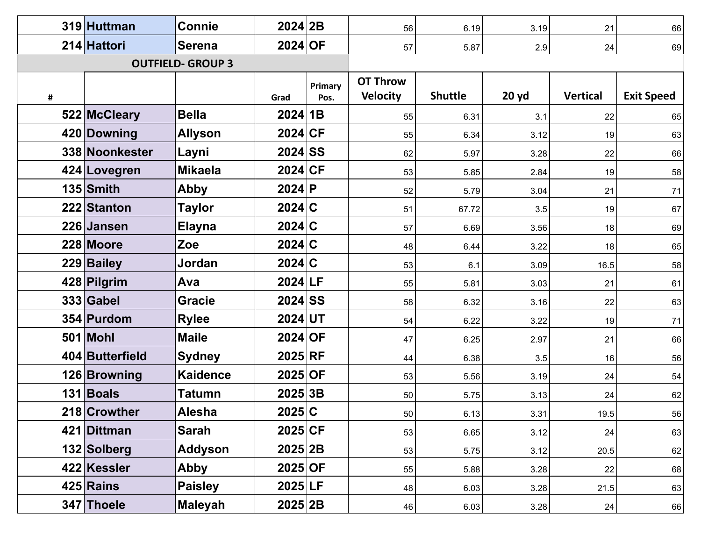|                          | 319 Huttman     | <b>Connie</b>   | $2024$ 2B |         | 56              | 6.19           | 3.19  | 21              | 66                |
|--------------------------|-----------------|-----------------|-----------|---------|-----------------|----------------|-------|-----------------|-------------------|
|                          | 214 Hattori     | <b>Serena</b>   | 2024 OF   |         | 57              | 5.87           | 2.9   | 24              | 69                |
| <b>OUTFIELD- GROUP 3</b> |                 |                 |           |         |                 |                |       |                 |                   |
|                          |                 |                 |           | Primary | <b>OT Throw</b> |                |       |                 |                   |
| #                        |                 |                 | Grad      | Pos.    | <b>Velocity</b> | <b>Shuttle</b> | 20 yd | <b>Vertical</b> | <b>Exit Speed</b> |
|                          | 522 McCleary    | <b>Bella</b>    | $2024$ 1B |         | 55              | 6.31           | 3.1   | 22              | 65                |
|                          | 420 Downing     | <b>Allyson</b>  | 2024 CF   |         | 55              | 6.34           | 3.12  | 19              | 63                |
|                          | 338 Noonkester  | Layni           | $2024$ SS |         | 62              | 5.97           | 3.28  | 22              | 66                |
|                          | 424 Lovegren    | <b>Mikaela</b>  | 2024 CF   |         | 53              | 5.85           | 2.84  | 19              | 58                |
|                          | 135 Smith       | <b>Abby</b>     | $2024$ P  |         | 52              | 5.79           | 3.04  | 21              | 71                |
|                          | 222 Stanton     | Taylor          | $2024$ C  |         | 51              | 67.72          | 3.5   | 19              | 67                |
|                          | 226 Jansen      | <b>Elayna</b>   | $2024$ C  |         | 57              | 6.69           | 3.56  | 18              | 69                |
|                          | 228 Moore       | Zoe             | $2024$ C  |         | 48              | 6.44           | 3.22  | 18              | 65                |
|                          | 229 Bailey      | Jordan          | $2024$ C  |         | 53              | 6.1            | 3.09  | 16.5            | 58                |
|                          | 428 Pilgrim     | Ava             | $2024$ LF |         | 55              | 5.81           | 3.03  | 21              | 61                |
|                          | 333 Gabel       | <b>Gracie</b>   | $2024$ SS |         | 58              | 6.32           | 3.16  | 22              | 63                |
|                          | 354 Purdom      | <b>Rylee</b>    | 2024 UT   |         | 54              | 6.22           | 3.22  | 19              | 71                |
|                          | 501 Mohl        | <b>Maile</b>    | 2024 OF   |         | 47              | 6.25           | 2.97  | 21              | 66                |
|                          | 404 Butterfield | <b>Sydney</b>   | $2025$ RF |         | 44              | 6.38           | 3.5   | 16              | 56                |
|                          | 126 Browning    | <b>Kaidence</b> | 2025 OF   |         | 53              | 5.56           | 3.19  | 24              | 54                |
|                          | 131 Boals       | Tatumn          | 2025 3B   |         | 50              | 5.75           | 3.13  | 24              | 62                |
|                          | 218 Crowther    | Alesha          | $2025$ C  |         | 50 <sub>1</sub> | 6.13           | 3.31  | 19.5            | 56                |
|                          | 421 Dittman     | <b>Sarah</b>    | $2025$ CF |         | 53              | 6.65           | 3.12  | 24              | 63                |
|                          | 132 Solberg     | <b>Addyson</b>  | 2025 2B   |         | 53              | 5.75           | 3.12  | 20.5            | 62                |
|                          | 422 Kessler     | Abby            | $2025$ OF |         | 55              | 5.88           | 3.28  | 22              | 68                |
|                          | 425 Rains       | <b>Paisley</b>  | 2025 LF   |         | 48              | 6.03           | 3.28  | 21.5            | 63                |
|                          | 347 Thoele      | <b>Maleyah</b>  | 2025 2B   |         | 46              | 6.03           | 3.28  | 24              | 66                |